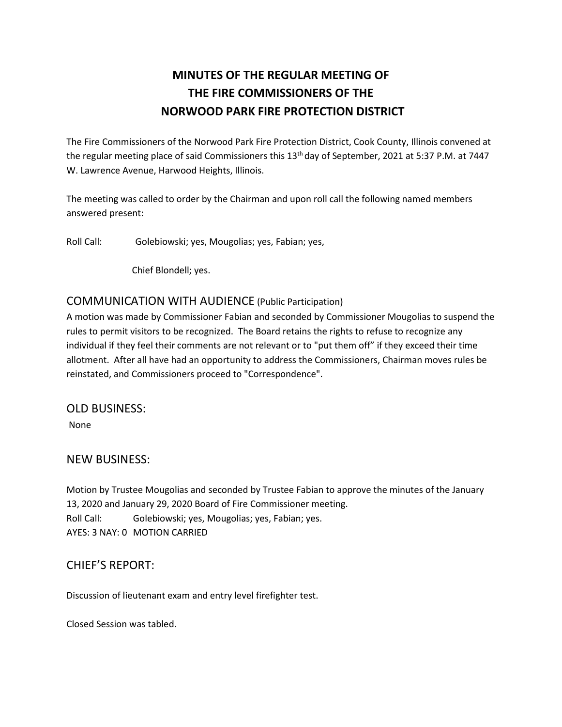## **MINUTES OF THE REGULAR MEETING OF THE FIRE COMMISSIONERS OF THE NORWOOD PARK FIRE PROTECTION DISTRICT**

The Fire Commissioners of the Norwood Park Fire Protection District, Cook County, Illinois convened at the regular meeting place of said Commissioners this 13<sup>th</sup> day of September, 2021 at 5:37 P.M. at 7447 W. Lawrence Avenue, Harwood Heights, Illinois.

The meeting was called to order by the Chairman and upon roll call the following named members answered present:

Roll Call: Golebiowski; yes, Mougolias; yes, Fabian; yes,

Chief Blondell; yes.

## COMMUNICATION WITH AUDIENCE (Public Participation)

A motion was made by Commissioner Fabian and seconded by Commissioner Mougolias to suspend the rules to permit visitors to be recognized. The Board retains the rights to refuse to recognize any individual if they feel their comments are not relevant or to "put them off" if they exceed their time allotment. After all have had an opportunity to address the Commissioners, Chairman moves rules be reinstated, and Commissioners proceed to "Correspondence".

OLD BUSINESS:

None

## NEW BUSINESS:

Motion by Trustee Mougolias and seconded by Trustee Fabian to approve the minutes of the January 13, 2020 and January 29, 2020 Board of Fire Commissioner meeting. Roll Call: Golebiowski; yes, Mougolias; yes, Fabian; yes. AYES: 3 NAY: 0 MOTION CARRIED

## CHIEF'S REPORT:

Discussion of lieutenant exam and entry level firefighter test.

Closed Session was tabled.